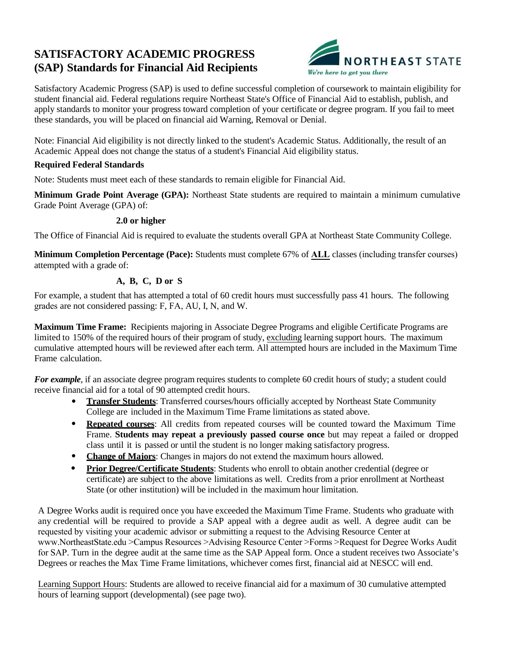# **SATISFACTORY ACADEMIC PROGRESS (SAP) Standards for Financial Aid Recipients**



Satisfactory Academic Progress (SAP) is used to define successful completion of coursework to maintain eligibility for student financial aid. Federal regulations require Northeast State's Office of Financial Aid to establish, publish, and apply standards to monitor your progress toward completion of your certificate or degree program. If you fail to meet these standards, you will be placed on financial aid Warning, Removal or Denial.

Note: Financial Aid eligibility is not directly linked to the student's Academic Status. Additionally, the result of an Academic Appeal does not change the status of a student's Financial Aid eligibility status.

## **Required Federal Standards**

Note: Students must meet each of these standards to remain eligible for Financial Aid.

**Minimum Grade Point Average (GPA):** Northeast State students are required to maintain a minimum cumulative Grade Point Average (GPA) of:

## **2.0 or higher**

The Office of Financial Aid is required to evaluate the students overall GPA at Northeast State Community College.

**Minimum Completion Percentage (Pace):** Students must complete 67% of **ALL** classes (including transfer courses) attempted with a grade of:

# **A, B, C, D or S**

For example, a student that has attempted a total of 60 credit hours must successfully pass 41 hours. The following grades are not considered passing: F, FA, AU, I, N, and W.

**Maximum Time Frame:** Recipients majoring in Associate Degree Programs and eligible Certificate Programs are limited to 150% of the required hours of their program of study, excluding learning support hours. The maximum cumulative attempted hours will be reviewed after each term. All attempted hours are included in the Maximum Time Frame calculation.

*For example*, if an associate degree program requires students to complete 60 credit hours of study; a student could receive financial aid for a total of 90 attempted credit hours.

- **Transfer Students**: Transferred courses/hours officially accepted by Northeast State Community College are included in the Maximum Time Frame limitations as stated above.
- **Repeated courses**: All credits from repeated courses will be counted toward the Maximum Time Frame. **Students may repeat a previously passed course once** but may repeat a failed or dropped class until it is passed or until the student is no longer making satisfactory progress.
- **Change of Majors**: Changes in majors do not extend the maximum hours allowed.
- **Prior Degree/Certificate Students**: Students who enroll to obtain another credential (degree or certificate) are subject to the above limitations as well. Credits from a prior enrollment at Northeast State (or other institution) will be included in the maximum hour limitation.

A Degree Works audit is required once you have exceeded the Maximum Time Frame. Students who graduate with any credential will be required to provide a SAP appeal with a degree audit as well. A degree audit can be requested by visiting your academic advisor or submitting a request to the Advising Resource Center at www.NortheastState.edu >Campus Resources >Advising Resource Center >Forms >Request for Degree Works Audit for SAP. Turn in the degree audit at the same time as the SAP Appeal form. Once a student receives two Associate's Degrees or reaches the Max Time Frame limitations, whichever comes first, financial aid at NESCC will end.

Learning Support Hours: Students are allowed to receive financial aid for a maximum of 30 cumulative attempted hours of learning support (developmental) (see page two).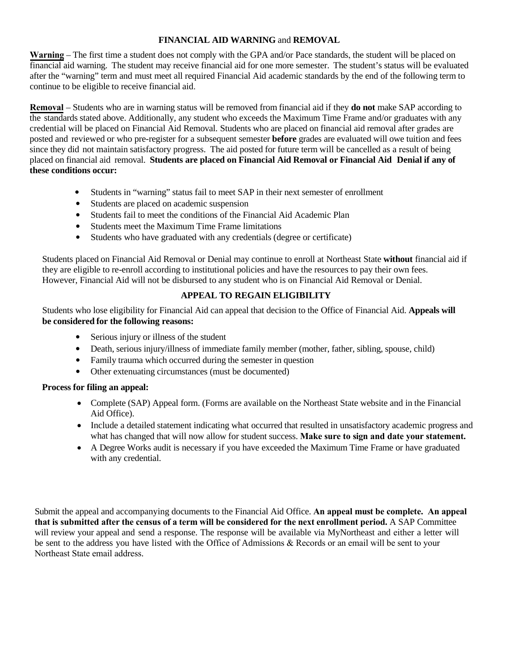## **FINANCIAL AID WARNING** and **REMOVAL**

**Warning** – The first time a student does not comply with the GPA and/or Pace standards, the student will be placed on financial aid warning. The student may receive financial aid for one more semester. The student's status will be evaluated after the "warning" term and must meet all required Financial Aid academic standards by the end of the following term to continue to be eligible to receive financial aid.

**Removal** – Students who are in warning status will be removed from financial aid if they **do not** make SAP according to the standards stated above. Additionally, any student who exceeds the Maximum Time Frame and/or graduates with any credential will be placed on Financial Aid Removal. Students who are placed on financial aid removal after grades are posted and reviewed or who pre-register for a subsequent semester **before** grades are evaluated will owe tuition and fees since they did not maintain satisfactory progress. The aid posted for future term will be cancelled as a result of being placed on financial aid removal. **Students are placed on Financial Aid Removal or Financial Aid Denial if any of these conditions occur:** 

- Students in "warning" status fail to meet SAP in their next semester of enrollment
- Students are placed on academic suspension
- Students fail to meet the conditions of the Financial Aid Academic Plan
- Students meet the Maximum Time Frame limitations
- Students who have graduated with any credentials (degree or certificate)

Students placed on Financial Aid Removal or Denial may continue to enroll at Northeast State **without** financial aid if they are eligible to re-enroll according to institutional policies and have the resources to pay their own fees. However, Financial Aid will not be disbursed to any student who is on Financial Aid Removal or Denial.

## **APPEAL TO REGAIN ELIGIBILITY**

Students who lose eligibility for Financial Aid can appeal that decision to the Office of Financial Aid. **Appeals will be considered for the following reasons:**

- Serious injury or illness of the student
- Death, serious injury/illness of immediate family member (mother, father, sibling, spouse, child)
- Family trauma which occurred during the semester in question
- Other extenuating circumstances (must be documented)

#### **Process for filing an appeal:**

- Complete (SAP) Appeal form. (Forms are available on the Northeast State website and in the Financial Aid Office).
- Include a detailed statement indicating what occurred that resulted in unsatisfactory academic progress and what has changed that will now allow for student success. **Make sure to sign and date your statement.**
- A Degree Works audit is necessary if you have exceeded the Maximum Time Frame or have graduated with any credential.

Submit the appeal and accompanying documents to the Financial Aid Office. **An appeal must be complete. An appeal that is submitted after the census of a term will be considered for the next enrollment period.** A SAP Committee will review your appeal and send a response. The response will be available via MyNortheast and either a letter will be sent to the address you have listed with the Office of Admissions & Records or an email will be sent to your Northeast State email address.